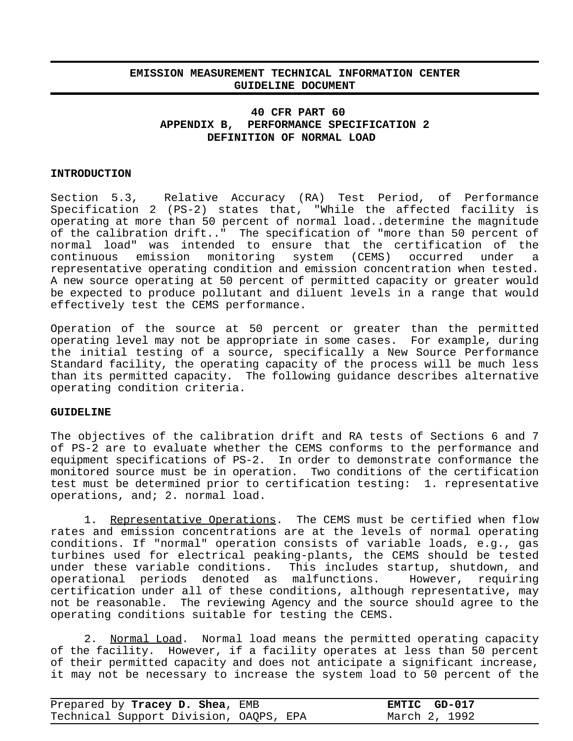## **EMISSION MEASUREMENT TECHNICAL INFORMATION CENTER GUIDELINE DOCUMENT**

## **40 CFR PART 60 APPENDIX B, PERFORMANCE SPECIFICATION 2 DEFINITION OF NORMAL LOAD**

## **INTRODUCTION**

Section 5.3, Relative Accuracy (RA) Test Period, of Performance Specification 2 (PS-2) states that, "While the affected facility is operating at more than 50 percent of normal load..determine the magnitude of the calibration drift.." The specification of "more than 50 percent of normal load" was intended to ensure that the certification of the continuous emission monitoring system (CEMS) occurred under a representative operating condition and emission concentration when tested. A new source operating at 50 percent of permitted capacity or greater would be expected to produce pollutant and diluent levels in a range that would effectively test the CEMS performance.

Operation of the source at 50 percent or greater than the permitted operating level may not be appropriate in some cases. For example, during the initial testing of a source, specifically a New Source Performance Standard facility, the operating capacity of the process will be much less than its permitted capacity. The following guidance describes alternative operating condition criteria.

## **GUIDELINE**

The objectives of the calibration drift and RA tests of Sections 6 and 7 of PS-2 are to evaluate whether the CEMS conforms to the performance and equipment specifications of PS-2. In order to demonstrate conformance the monitored source must be in operation. Two conditions of the certification test must be determined prior to certification testing: 1. representative operations, and; 2. normal load.

1. Representative Operations. The CEMS must be certified when flow rates and emission concentrations are at the levels of normal operating conditions. If "normal" operation consists of variable loads, e.g., gas turbines used for electrical peaking-plants, the CEMS should be tested This includes startup, shutdown, and operational periods denoted as malfunctions. However, requiring certification under all of these conditions, although representative, may not be reasonable. The reviewing Agency and the source should agree to the operating conditions suitable for testing the CEMS.

2. Normal Load. Normal load means the permitted operating capacity of the facility. However, if a facility operates at less than 50 percent of their permitted capacity and does not anticipate a significant increase, it may not be necessary to increase the system load to 50 percent of the

| Prepared by Tracey D. Shea, EMB        | EMTIC GD-017  |
|----------------------------------------|---------------|
| Technical Support Division, OAQPS, EPA | March 2, 1992 |